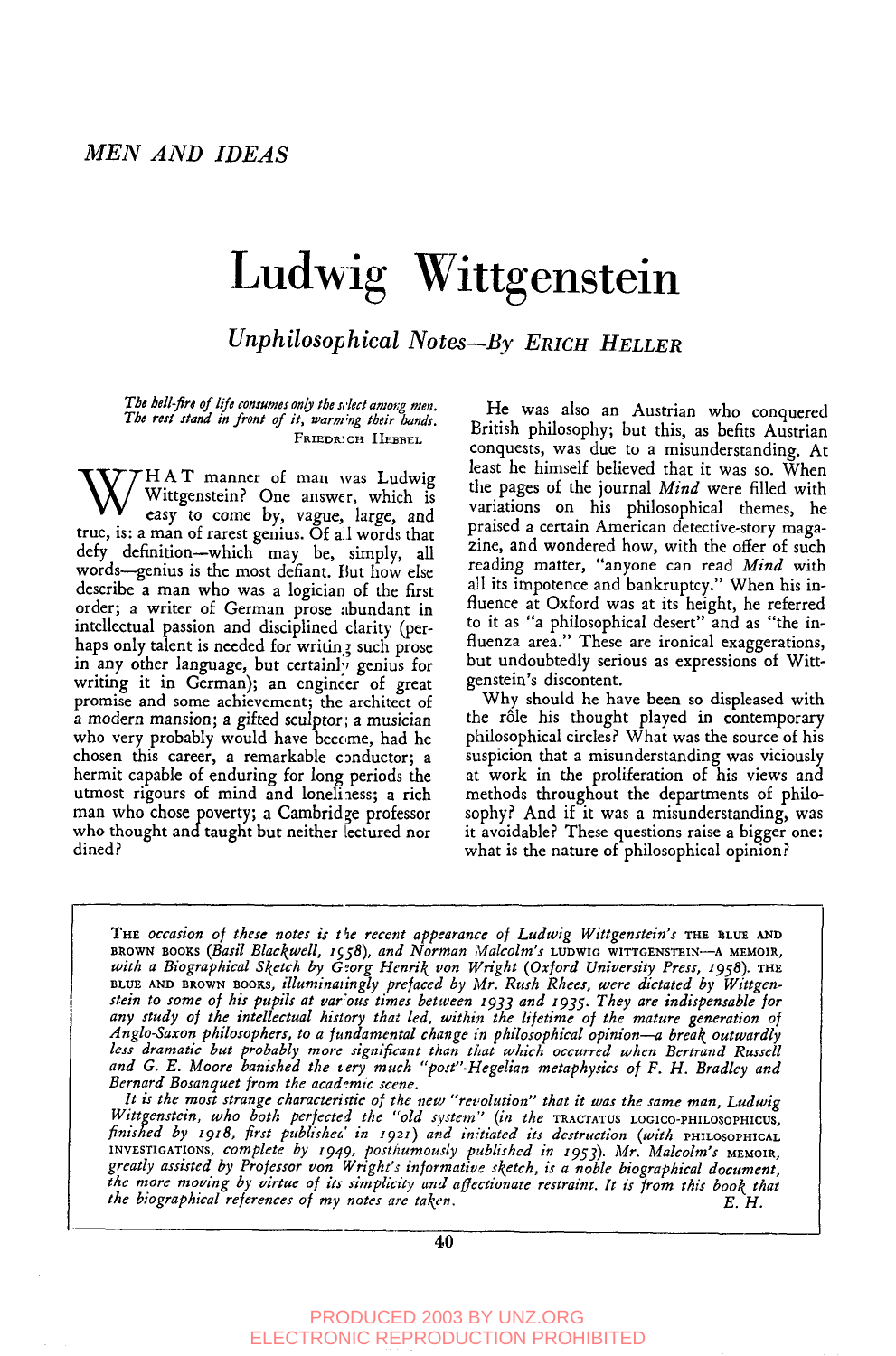# **Ludwig Wittgenstein**

 $Unphilosophical Notes—By ERICH HELLER$ 

The hell-fire of life consumes only the sclect among men. The rest stand in front of it, warming their bands. FRIEDRICH HEBREL

WHAT manner of man was Ludwig<br>wittgenstein? One answer, which is<br>easy to come by, vague, large, and true, is: a man of rarest genius. Of al words that defy definition--which may be, simply, all words--genius is the most defiant. But how else describe a man who was a logician of the first order; a writer of German prose abundant in intellectual passion and disciplined clarity (perhaps only talent is needed for writing such prose in any other language, but certainly genius for writing it in German); an engineer of great promise and some achievement; the architect of a modern mansion; a gifted sculptor; a musician who very probably would have become, had he chosen this career, a remarkable conductor; a hermit capable of enduring for long periods the utmost rigours of mind and loneliness; a rich man who chose poverty; a Cambridge professor who thought and taught but neither lectured nor dined?

He was also an Austrian who conquered British philosophy; but this, as befits Austrian conquests, was due to a misunderstanding. At least he himself believed that it was so. When the pages of the journal *Mind* were filled with variations on his philosophical themes, he praised a certain American detective-story magazine, and wondered how, with the offer of such reading matter, "anyone can read *Mind* with all its impotence and bankruptcy." When his influence at Oxford was at its height, he referred to it as "a philosophical desert" and as "the influenza area." These are ironical exaggerations, but undoubtedly serious as expressions of Wittgenstein's discontent.

Why should he have been so displeased with the rôle his thought played in contemporary philosophical circles? What was the source o£ his suspicion that a misunderstanding was viciously at work in the proliferation of his views and methods throughout the departments of philosophy? And if it was a misunderstanding, was it avoidable? These questions raise a bigger one: what is the nature of philosophical opinion?

THE occasion of these notes is the recent appearance of Ludwig Wittgenstein's THE BLUE AND BROWN BOOKS (Basil Blackwell, 1558), and Norman Malcolm's LUDWIG WITTGENSTEIN--- A MI with a Biographical Sketch by Georg Henrik von Wright (Oxford University Press, 1958). THE<br>BLUE AND BROWN BOOKS, illuminatingly prefaced by Mr. Rush Rhees, were dictated by Wittgen*stein to some o[ his pupils at various times between ~933 and z935. They are indispensable/or* any study of the intellectual history that led, within the lifetime of the mature generation of *Anglo-Saxon philosophers, to a [undamental change in philosophical opinion---a break outwardly less dramatic but probably more significant than that which occurred when Bertrand Russell and G. E. Moore banished the tery much "post"-Hegelian metaphysics o[ F. H. Bradley and Bernard Bosanquet [rom the acad:mic scene.*

*It is the most strange characterirtic o] the new "revolution" that it was the same man, Ludwig Wittgenstein, who both perfected the "old system" (in the TRACTATUS LOGICO-PHILOSOPHICUS,* finished by 1918, first published in 1921) and initiated its destruction (with PHILOSOPHICAL NVESTIGATIONS, *complete by 1949, posthumously published in 1953). Mr. Malcolm's N* greatly assisted by Professor von Wright's informative sketch, is a noble biographical document, the more moving by virtue of its simplicity and affectionate restraint. It is from this book that<br>the biographical references of my notes are taken. the biographical references of my notes are taken.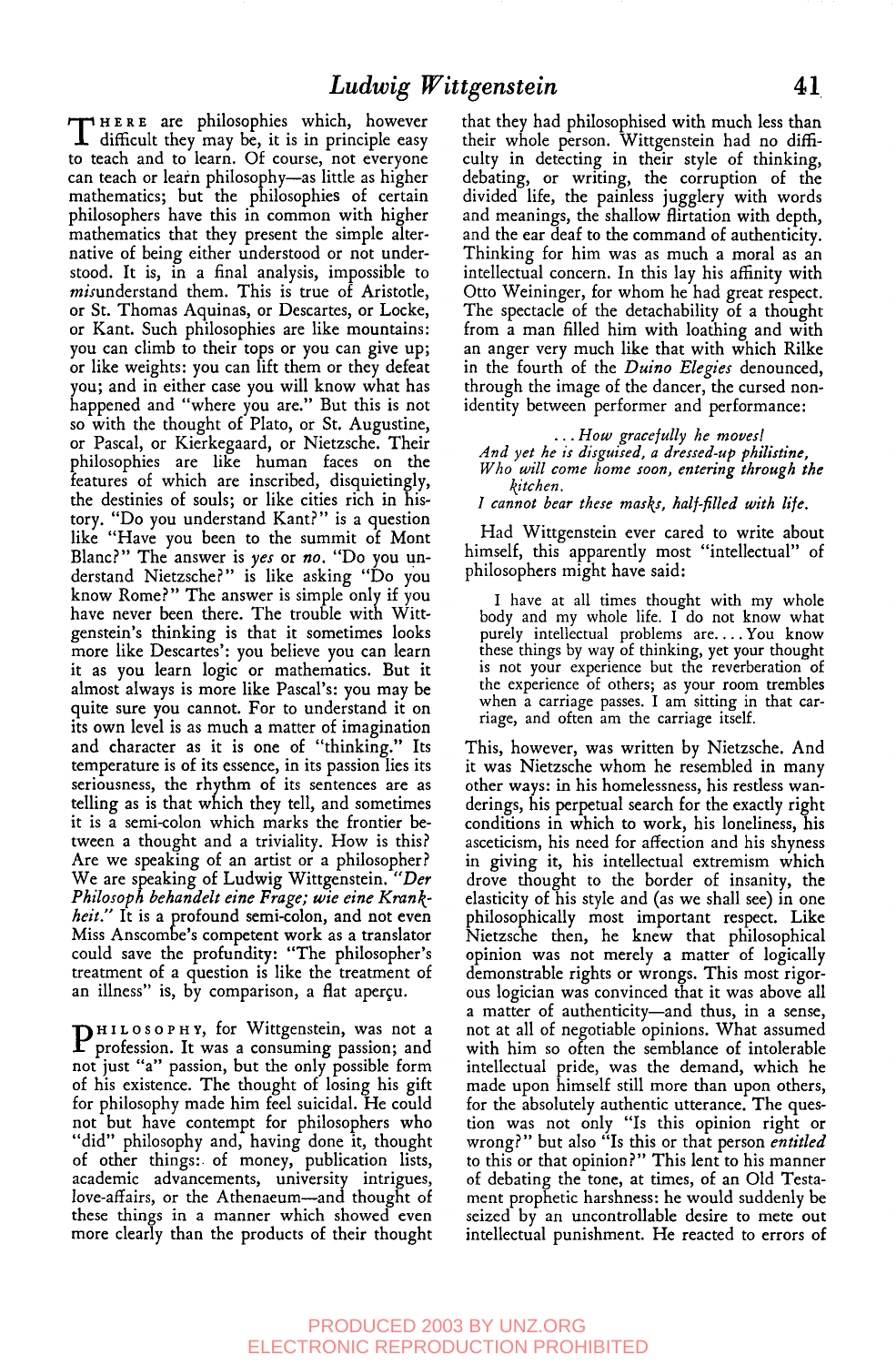THERE are philosophies which, however<br>
difficult they may be, it is in principle easy to teach and to learn. Of course, not everyone can teach or learn philosophy-as little as higher mathematics; but the philosophies of certain philosophers have this in common with higher mathematics that they present the simple alternative of being either understood or not understood. It is, in a final analysis, impossible to *misunderstand* them. This is true of Aristotle, or St. Thomas Aquinas, or Descartes, or Locke, or Kant. Such philosophies are like mountains: you can climb to their tops or you can give up; or like weights: you can lift them or they defeat you; and in either case you will know what has happened and "where you are." But this is not so with the thought of Plato, or St. Augustine, or Pascal, or Kierkegaard, or Nietzsche. Their philosophies are like human faces on the features of which are inscribed, disquietingly, the destinies of souls; or like cities rich in history. "Do you understand Kant?" is a question like "Have you been to the summit of Mont Blanc?" The answer is *yes* or *no.* "Do you understand Nietzsche?" is like asking "Do ybu know Rome?" The answer is simple only if you have never been there. The trouble with Wittgenstein's thinking is that it sometimes looks more like Descartes': you believe you can learn it as you learn logic or mathematics. But it almost always is more like Pascal's: you may be quite sure you cannot. For to understand it on its own level is as much a matter of imagination and character as it is one of "thinking." Its temperature is of its essence, in its passion lies its seriousness, the rhythm of its sentences are as telling as is that which they tell, and sometimes it is a semi-colon which marks the frontier between a thought and a triviality. How is this? Are we speaking of an artist or a philosopher? We are speaking of Ludwig Wittgenstein. *Der Philosoph behandelt eine Frage; wie eine Kranl~ heit.'"* It is a profound semi-colon, and not even Miss Anscombe's competent work as a translator could save the profundity: "The philosopher's treatment of a question is like the treatment of an illness" is, by comparison, a flat aperçu.

**P**<sup>HILOSOPHY, for Wittgenstein, was not a<br>**P** profession. It was a consuming passion; and</sup> profession. It was a consuming passion; and not just "a" passion, but the only possible form of his existence. The thought of losing his gift for philosophy made him feel suicidal. He could not but have contempt for philosophers who "did" philosophy and, having done it, thought of other things:, of money, publication lists, academic advancements, university intrigues, love-affairs, or the Athenaeum--and thought of these things in a manner which showed even more clearly than the products of their thought that they had philosophised with much less than their whole person. Wittgenstein had no difficulty in detecting in their style of thinking, debating, or writing, the corruption of the divided life, the painless jugglery with words and meanings, the shallow flirtation with depth, and the ear deaf to the command of authenticity. Thinking for him was as much a moral as an intellectual concern. In this lay his affinity with Otto Weininger, for whom he had great respect. The spectacle of the detachability of a thought from a man filled him with loathing and with an anger very much like that with which Rilke in the fourth of the *Duino Elegies* denounced, through the image of the dancer, the cursed nonidentity between performer and performance:

*... How grace/ully he moues! And yet he is disguised, a dressed-uphilistine, Who will come home soon, entering through the &itchen.*

*1 cannot bear these mas&s, hal[-filled with life.*

Had Wittgenstein ever cared to write about himself, this apparendy most "intellectual" of philosophers might have said:

I have at all times thought with my whole body and my whole life. I do not know what purely intellectual problems are.... You know these things by way of thinking, yet your thought is not your experience but the reverberation of the experience of others; as your room trembles when a carriage passes. I am sitting in that carriage, and often am the carriage itself.

This, however, was written by Nietzsche. And it was Nietzsche whom he resembled in many other ways: in his homelessness, his resdess wanderings, his perpetual search for the exacdy right conditions in which to work, his loneliness, his asceticism, his need for affection and his shyness in giving it, his intellectual extremism which drove thought to the border of insanity, the elasticity of his style and (as we shall see) in one philosophically most important respect. Like Nietzsche then, he knew that philosophical opinion was not merely a matter of logically demonstrable rights or wrongs. This most rigorous logician was convinced that it was above all a matter of authenticity-and thus, in a sense, not at all of negotiable opinions. What assumed with him so often the semblance of intolerable intellectual pride, was the demand, which he made upon himself still more than upon others, for the absolutely authentic utterance. The question was not only "Is this opinion right or wrong?" but also "Is this or that person *entitled* to this or that opinion?" This lent to his manner of debating the tone, at times, of an Old Testament prophetic harshness: he would suddenly be seized by an uncontrollable desire to mete out intellectual punishment. He reacted to errors of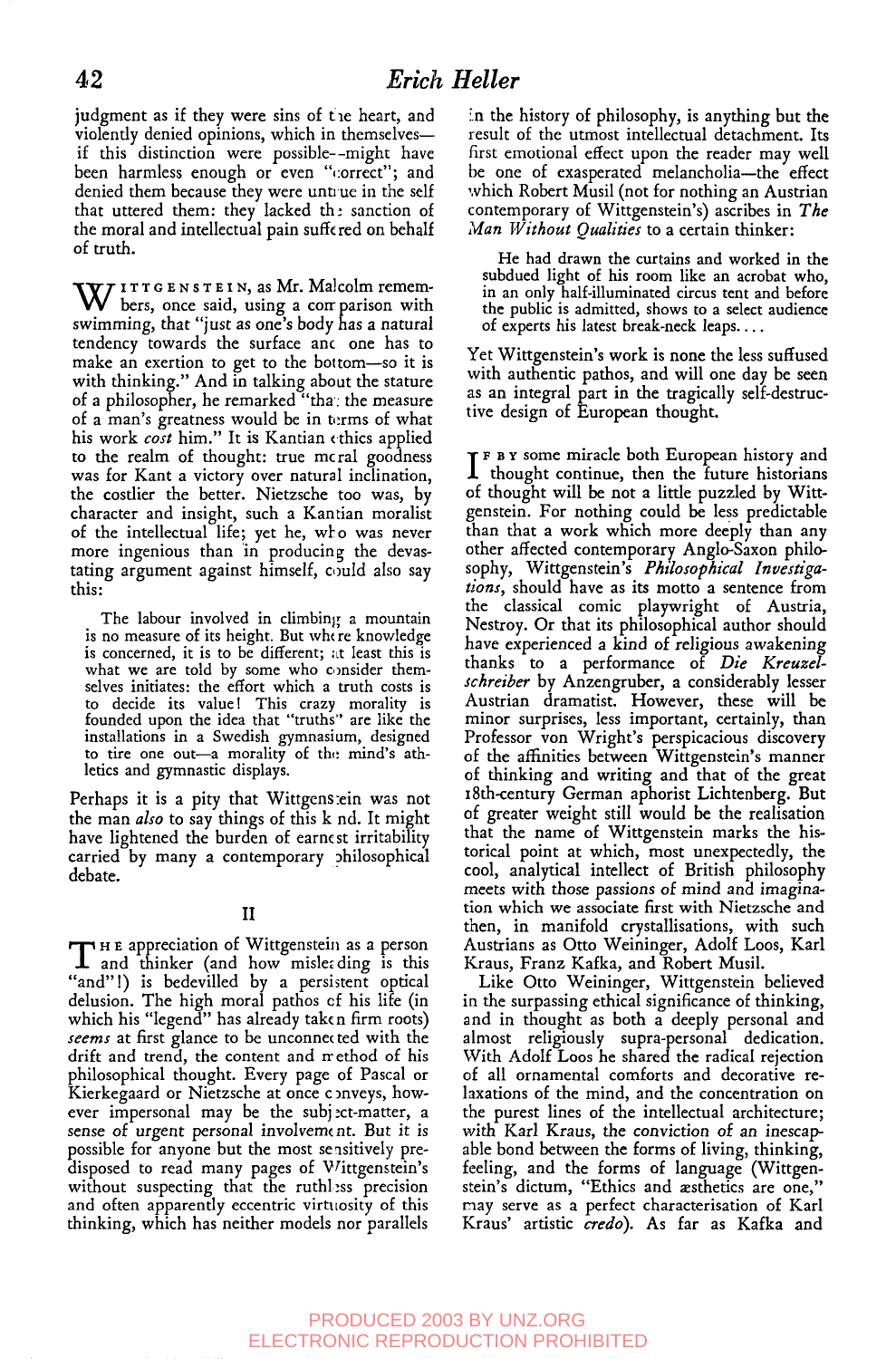judgment as if they were sins of the heart, and violently denied opinions, which in themselves-if this distinction were possible--might have been harmless enough or even "correct"; and denied them because they were untrue in the self that uttered them: they lacked th: sanction of the moral and intellectual pain suffc red on behalf of truth.

W ITTGENSTEIN, as Mr. Malcolm remem-<br>W bers, once said, using a corr parison with swimming, that "just as one's body has a natural tendency towards the surface and one has to make an exertion to get to the bottom--so it is with thinking." And in talking about the stature of a philosopher, he remarked "tha: the measure of a man's greatness would be in terms of what his work *cost* him." It is Kantian ethics applied to the realm of thought: true moral goodness was for Kant a victory over natural inclination, the cosdier the better. Nietzsche too was, by character and insight, such a Kantian moralist of the intellectual life; yet he, who was never more ingenious than 'in producing the devastating argument against himself, could also say this:

The labour involved in climbing a mountain is no measure of its height. But where knowledge is concerned, it is to be different; at least this is what we are told by some who consider themselves initiates: the effort which a truth costs is to decide its value! This crazy morality is founded upon the idea that "truths" are like the installations in a Swedish gymnasium, designed to tire one out-a morality of the mind's athletics and gymnastic displays.

Perhaps it is a pity that Wittgens:ein was not the man *also* to say things of this k nd. It might have lightened the burden of earnest irritability carried by many a contemporary philosophical debate.

#### II

THE appreciation of Wittgenstein as a person<br>T and thinker (and how misleading is this "and"I) is bedevilled by a persistent optical delusion. The high moral pathos cf his life (in which his "legend" has already taken firm roots) *seems* at first glance to be unconnected with the drift and trend, the content and method of his philosophical thought. Every page of Pascal or Kierkegaard or Nietzsche at once conveys, however impersonal may be the subject-matter, a sense of urgent personal involvement. But it is possible for anyone but the most sensitively predisposed to read many pages of Wittgenstein's possible for anyone but the most sensitively prewithout suspecting that the ruthl:ss precision and often apparently eccentric virtuosity of this thinking, which has neither models nor parallels

!.n the history of philosophy, is anything but the result of the utmost intellectual detachment. Its first emotional effect upon the reader may well be one of exasperated melancholia—the effect which Robert Musil (not for nothing an Austrian contemporary of Wittgenstein's) ascribes in *The Man Without Qualities* to a certain thinker:

He had drawn the curtains and worked in the subdued light of his room like an acrobat who, in an only half-illuminated circus tent and before the public is admitted, shows to a select audience of experts his latest break-neck leaps...

Yet Wittgenstein's work is none the less suffused with authentic pathos, and will one day be seen as an integral part in the tragically self-destructive design of European thought.

I F B Y some miracle both European history and thought continue, then the future historians F s v some miracle both European history and of thought will be not a little puzzled by Wittgenstein. For nothing could be less predictable than that a work which more deeply than any other affected contemporary Anglo-Saxon philosophy, Wittgenstein's *Philosophical Investiga*tions, should have as its motto a sentence from the classical comic playwright of Austria, Nestroy. Or that its philosophical author should have experienced a kind of religious awakening thanks to a performance of *Die Kreuzelschreiber* by Anzengruber, a considerably lesser Austrian dramatist. However, these will be minor surprises, less important, certainly, than Professor von Wright's perspicacious discovery of the affinities between Wittgenstein's manner of thinking and writing and that of the great x8th-century German aphorist Lichtenberg. But of greater weight still would be the realisation that the name of Wittgenstein marks the historical point at which, most unexpectedly, the cool, analytical intellect of British philosophy meets with those passions of mind and imagination which we associate first with Nietzsche and then, in manifold crystallisations, with such Austrians as Otto Weininger, Adolf Loos, Karl Kraus, Franz Kafka, and Robert Musil.

Like Otto Weininger, Wittgenstein believed in the surpassing ethical significance of thinking, and in thought as both a deeply personal and almost religiously supra-personal dedication. With Adolf Loos he shared the radical rejection of all ornamental comforts and decorative relaxations of the mind, and the concentration on the purest lines of the intellectual architecture; with Karl Kraus, the conviction of an inescapable bond between the forms of living, thinking, feeling, and the forms of language (Wittgenstein's dictum, "Ethics and æsthetics are one," may serve as a perfect characterisation of Karl Kraus' artistic *credo).* As far as Kafka and

## PRODUCED 2003 BY UNZ.ORG ELECTRONIC REPRODUCTION PROHIBITED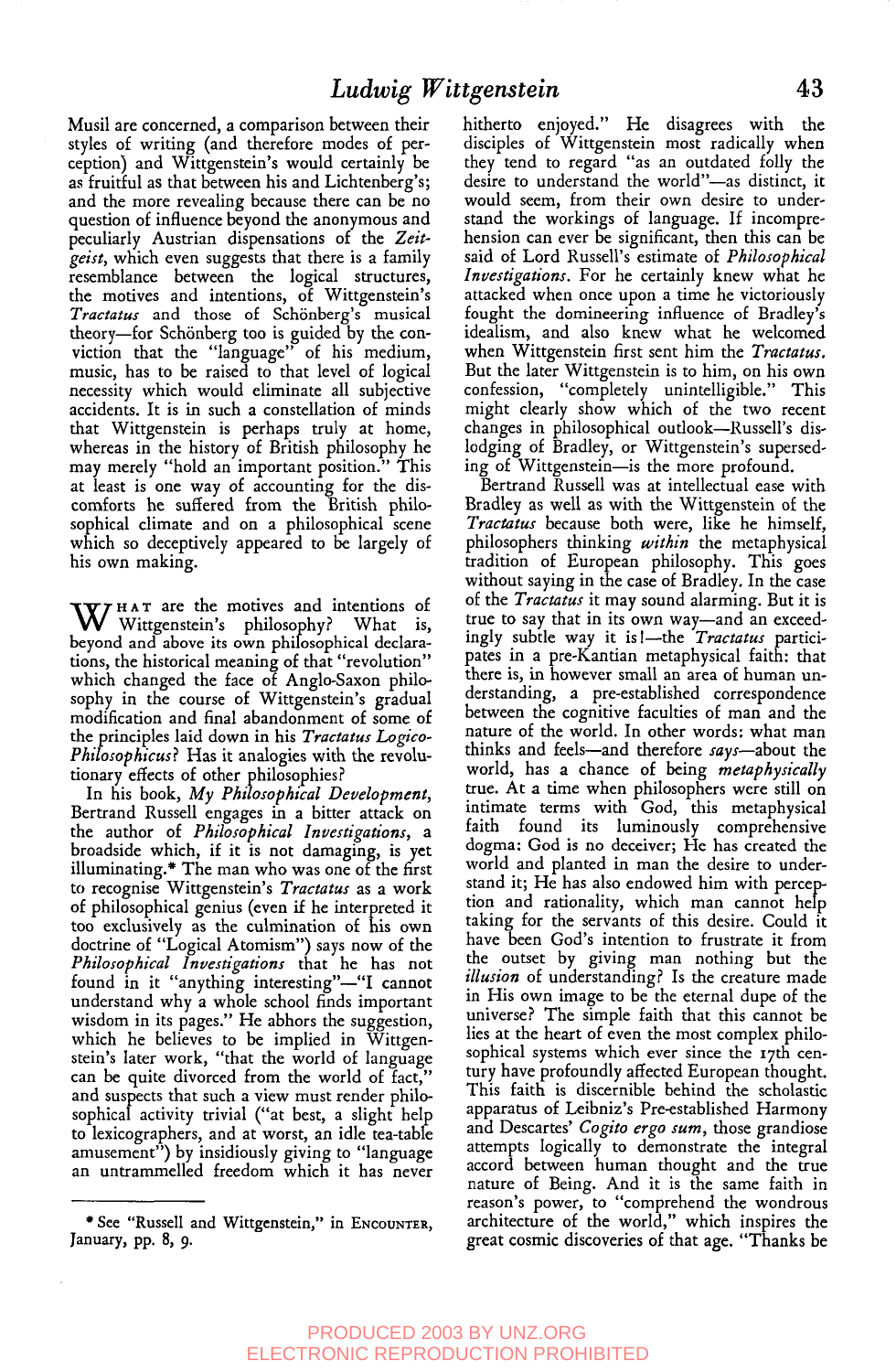Musil are concerned, a comparison between their styles of writing (and therefore modes of perception) and Wittgenstein's would certainly be as fruitful as that between his and Lichtenberg's; and the more revealing because there can be no question of influence beyond the anonymous and peculiarly Austrian dispensations of the *Zeitgrist,* which even suggests that there is a family resemblance between the logical structures, the motives and intentions, of Wittgenstein's Tractatus and those of Schönberg's musical theory-for Schönberg too is guided by the conviction that the "language" of his medium, music, has to be raised to that level of logical necessity which would eliminate all subjective accidents. It is in such a constellation of minds that Wittgenstein is perhaps truly at home, whereas in the history of British philosophy he may merely "hold an important position." This at least is one way of accounting for the discomforts he suffered from the British philosophical climate and on a philosophical scene which so deceptively appeared to be largely of his own making.

W<sup>HAT</sup> are the motives and intentions of Wittgenstein's philosophy? What is, beyond and above its own philosophical declarations, the historical meaning of that "revolution" which changed the face of Anglo-Saxon philosophy in the course of Wittgenstein's gradual modification and final abandonment of some of the principles laid down in his *Tractatus Logico-Philosophicus?* Has it analogies with the revolutionary effects of other philosophies?

In his book, *My Philosophical Development,* Bertrand Russell engages in a bitter attack on the author of *Philosophical Investigations, a* broadside which, if it is not damaging, is yet illuminating.\* The man who was one of the first m recognise Wittgenstein's *Tractatus* as a work of philosophical genius (even if he interpreted it too exclusively as the culmination of his own doctrine of "Logical Atomism") says now of the *Philosophical Investigations* that he has not found in it "anything interesting"-"I cannot understand why a whole school finds important wisdom in its pages." He abhors the suggestion, which he believes to be implied in Wittgenstein's later work, "that the world of language can be quite divorced from the world of fact, and suspects that such a view must render philosophical activity trivial ("at best, a slight help to lexicographers, and at worst, an idle tea-table amusement") by insidiously giving to "language an untrammelled freedom which it has never

hitherto enjoyed." He disagrees with the disciples of Wittgenstein most radically when they tend to regard "as an outdated folly the desire to understand the world"-as distinct, it would seem, from their own desire to understand the workings of language. If incomprehension can ever be significant, then this can be said of Lord Russell's estimate of *Philosophical Investigations.* For he certainly knew what he attacked when once upon a time he victoriously fought the domineering influence of Bradley's idealism, and also knew what he welcomed when Wittgenstein first sent him the *Tractatus.* But the later Wittgenstein is to him, on his own confession, "completely unintelligible." This might clearly show which of the two recent changes in philosophical outlook-Russell's dislodging of Bradley, or Wittgenstein's superseding of Wittgenstein-is the more profound.

Bertrand Russell was at intellectual ease with Bradley as well as with the Wittgenstein of the *Tractatus* because both were, like he himself, philosophers thinking *within* the metaphysical tradition of European philosophy. This goes without saying in the case of Bradley. In the case of the *Tractatus* it may sound alarming. But it is true to say that in its own way--and an exceedingly subtle way it is I--the *Tractatus* participates in a pre-Kantian metaphysical faith: that there is, in however small an area of human understanding, a pre-established correspondence between the cognitive faculties of man and the nature of the world. In other words: what man thinks and feels--and therefore *says--about* the world, has a chance of being *metaphysically* true. At a time when philosophers were still on intimate terms with God, this metaphysical faith found its luminously comprehensive dogma: God is no deceiver; He has created the world and planted in man the desire to understand it; He has also endowed him with perception and rationality, which man cannot help taking for the servants of this desire. Could it have been God's intention to frustrate it from the outset by giving man nothing but the *illusion* of understanding? Is the creature made in His own image to be the eternal dupe of the universe? The simple faith that this cannot be lies at the heart of even the most complex philosophical systems which ever since the I7th century have profoundly affected European thought. This faith is discernible behind the scholastic apparatus of Leibniz's Pre-established Harmony and Descartes' *Cogito ergo sum,* those grandiose attempts logically to demonstrate the integral accord between human thought and the true nature of Being. And it is the same faith in reason's power, to "comprehend the wondrous architecture of the world," which inspires the great cosmic discoveries of that age. "Thanks be

<sup>\*</sup> See "Russell and Wittgenstein," in ENCOUNTER, January, pp. 8, 9.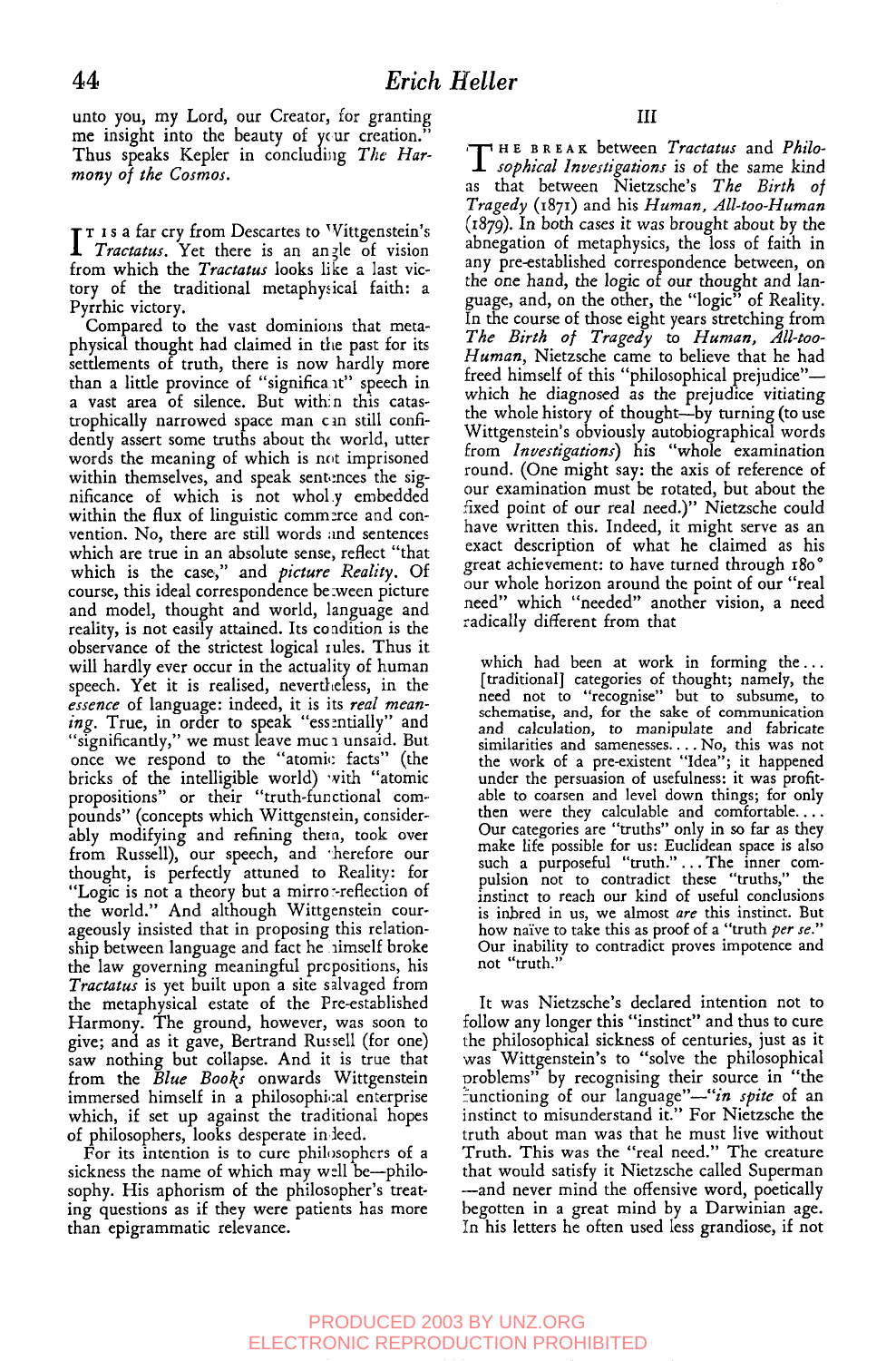unto you, my Lord, our Creator, for granting me insight into the beauty of your creation. Thus speaks Kepler in concluding *The Harmony of the Cosmos.*

I<sup>T</sup> I s a far cry from Descartes to Wittgenstein's<br>*I Tractatus*, Yet there is an angle of vision *Tractatus.* Yet there is an angle of vision from which the *Tractatus* looks like a last victory of the traditional metaphysical faith: a Pyrrhic victory.

Compared to the vast dominions that metaphysical thought had claimed in the past for its settlements of truth, there is now hardly more than a little province of "significant" speech in a vast area of silence. But within this catastrophically narrowed space man can still confidently assert some truths about the world, utter words the meaning of which is not imprisoned within themselves, and speak sentences the significance of which is not whol.y embedded within the flux of linguistic commerce and convention. No, there are still words and sentences which are true in an absolute sense, reflect "that: which is the case," and *picture Reality.* Of course, this ideal correspondence be :ween picture and model, thought and world, language and reality, is not easily attained. Its condition is the observance of the strictest logical xules. Thus it will hardly ever occur in the actuality of human speech. Yet it is realised, nevertheless, in the *essence of* language: indeed, it is its *real mean*ing. True, in order to speak "essentially" and "significantly," we must leave much unsaid. But once we respond to the "atomic facts" (the bricks of the intelligible world) with "atomic propositions" or their "truth-functional compounds" (concepts which Wittgenstein, considerably modifying and refining them, took over from Russell), our speech, and therefore our thought, is perfectly attuned to Reality: for "Logic is not a theory but a mirro:-reflection of the world." And although Wittgenstein courageously insisted that in proposing this relationship between language and fact he nimself broke the law governing meaningful prcpositions, his *Tractatus* is yet built upon a site salvaged from the metaphysical estate of the Fre-established Harmony. The ground, however, was soon to give; and as it gave, Bertrand Russell (for one) saw nothing but collapse. And it is true that from the *Blue Books* onwards Wittgenstein immersed himself in a philosophical enterprise which, if set up against the traditional hopes of philosophers, looks desperate in.]eed.

For its intention is to cure philosophers of a sickness the name of which may well be--philosophy. His aphorism of the philosopher's treating questions as if they were patients has more than epigrammatic relevance.

**T** *sophical Investigations* is of the same kind ~ r. B ~ S A ~ between *Tractatus* and *Philo*as that between Nietzsche's *The Birth oI Tragedy* (~87~) and his *Human, All-too-Human* (r879). In both cases it was brought about by the abnegation of metaphysics, the loss of faith in any pre-established correspondence between, on the one hand, the logic of our thought and language, and, on the other, the "logic" of Reality. In the course of those eight years stretching from *The Birth of Tragedy* to *Human, All-too-Human,* Nietzsche came to believe that he had freed himself of this "philosophical prejudice"which he diagnosed as the prejudice vitiating the whole history of thought--by turning (to use Wittgenstein's obviously autobiographical words from *Investigations)* his "whole examination round. (One might say: the axis of reference of our examination must be rotated, but about the fixed point of our real need.)" Nietzsche could have written this. Indeed, it might serve as an exact description of what he claimed as his great achievement: to have turned through rSo ° our whole horizon around the point of our "real need" which "needed" another vision, a need radically different from that

which had been at work in forming the... [traditional] categories of thought; namely, the need not to "recognise" but to subsume, to schematise, and, for the sake of communication and calculation, to manipulate and fabricate similarities and samenesses.... No, this was not the work of a pre-existent "Idea"; it happened under the persuasion of usefulness: it was profitable to coarsen and level down things; for only then were they calculable and comfortable.... Our categories are "truths" only in so far as they make life possible for us: Euclidean space is also such a purposeful "truth."...The inner compulsion not to contradict these "truths," the instinct to reach our kind of useful conclusions is inbred in us, we almost *are* this instinct. But how naive to take this as proof of a "truth *per se."* Our inability to contradict proves impotence and not "truth."

It was Nietzsche's declared intention not to follow any longer this "instinct" and thus to cure the philosophical sickness of centuries, just as it was Wittgenstein's to "solve the philosophical problems" by recognising their source in "the ~unctioning of our *language"--"in spite* of an instinct to misunderstand it." For Nietzsche the truth about man was that he must live without Truth. This was the "real need." The creature that would satisfy it Nietzsche called Superman --and never mind the offensive word, poetically begotten in a great mind by a Darwinian age. In his letters he often used less grandiose, if not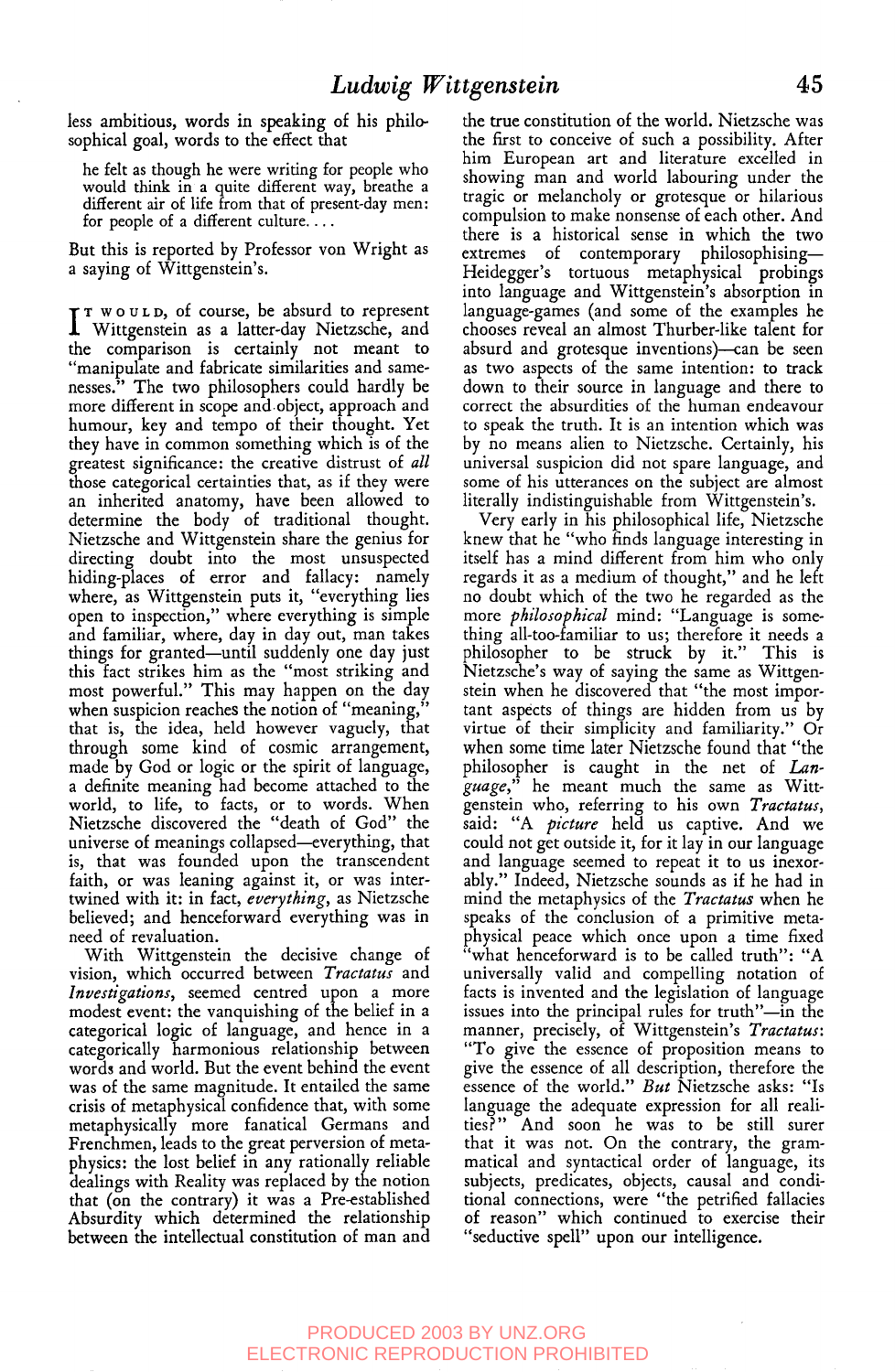less ambitious, words in speaking of his philosophical goal, words to the effect that

he felt as though he were writing for people who would think in a quite different way, breathe a different air of life from that of present-day men: for people of a different culture....

But this is reported by Professor von Wright as a saying of Wittgenstein's.

**I** <sup>T</sup> w o u L <sub>D</sub>, of course, be absurd to represent<br>I Wittgenstein as a latter-day Nietzsche, and Wittgenstein as a latter-day Nietzsche, and the comparison is certainly not meant to "manipulate and fabricate similarities and samenesses." The two philosophers could hardly be more different in scope and.object, approach and humour, key and tempo of their thought. Yet they have in common something which is of the greatest significance: the creative distrust of *all* those categorical certainties that, as if they were an inherited anatomy, have been allowed to determine the body of traditional thought. Nietzsche and Wittgenstein share the genius for directing doubt into the most unsuspected hiding-places of error and fallacy: namely where, as Wittgenstein puts it, "everything lies open to inspection," where everything is simple and familiar, where, day in day out, man takes things for granted--until suddenly one day just this fact strikes him as the "most striking and most powerful." This may happen on the day when suspicion reaches the notion of "meaning, that is, the idea, held however vaguely, that through some kind of cosmic arrangement, made by God or logic or the spirit of language, a definite meaning had become attached to the world, to life, to facts, or to words. When Nietzsche discovered the "death of God" the universe of meanings collapsed--everything, that is, that was founded upon the transcendent faith, or was leaning against it, or was intertwined with it: in fact, *everything,* as Nietzscbe believed; and henceforward everything was in need of revaluation.

With Wittgenstein the decisive change of vision, which occurred between *Tractatus* and *Investigations,* seemed centred upon a more modest event: the vanquishing of the belief in a categorical logic of language, and hence in a categorically harmonious relationship between words and world. But the event behind the event was of the same magnitude. It entailed the same crisis of metaphysical confidence that, with some metaphysically more fanatical Germans and Frenchmen, leads to the great perversion of metaphysics: the lost belief in any rationally reliable dealings with Reality was replaced by the notion that (on the contrary) it was a Pre-established Absurdity which determined the relationship between the intellectual constitution of man and

the true constitution of the world. Nietzsche was the first to conceive of such a possibility. After him European art and literature excelled in showing man and world labouring under the tragic or melancholy or grotesque or hilarious compulsion to make nonsense of each other. And there is a historical sense in which the two extremes of contemporary philosophising-Heidegger's tortuous metaphysical probings into language and Wittgenstein's absorption in language-games (and some of the examples he chooses reveal an almost Thurber-like talent for absurd and grotesque inventions)-can be seen as two aspects of the same intention: to track down to their source in language and there to correct the absurdities of the human endeavour to speak the truth. It is an intention which was by no means alien to Nietzsche. Certainly, his universal suspicion did not spare language, and some of his utterances on the subject are almost literally indistinguishable from Wittgenstein's.

Very early in his philosophical life, Nietzsche knew that he "who finds language interesting in itself has a mind different from him who only regards it as a medium of thought," and he left no doubt which of the two he regarded as the more *philosophical* mind: "Language is something all-too-familiar to us; therefore it needs a philosopher to be struck by it." This is Nietzsche's way of saying the same as Wittgenstein when he discovered that "the most important aspects of things are hidden from us by virtue of their simplicity and familiarity." Or when some time later Nietzsche found that "the philosopher is caught in the net of Lan*guage*," he meant much the same as Wittgenstein who, referring to his own *Tractatus,* said: "A *picture* held us captive. And we could not get outside it, for it lay in our language and language seemed to repeat it to us inexorably." Indeed, Nietzsche sounds as if he had in mind the metaphysics of the *Tractatus* when he speaks of the conclusion of a primitive meta physical peace which once upon a time fixed "what henceforward is to be called truth": "A universally valid and compelling notation of facts is invented and the legislation of language issues into the principal rules for truth"-in the manner, precisely, of Wittgenstein's *Tractatus:* "To give the essence of proposition means to give the essence of all description, therefore the essence of the world." *But* Nietzsche asks: "Is language the adequate expression for all realities?" And soon he was to be still surer that it was not. On the contrary, the grammatical and syntactical order of language, its subjects, predicates, objects, causal and conditional connections, were "the petrified fallacies of reason" which continued to exercise thei "seductive spell" upon our intelligence.

## PRODUCED 2003 BY UNZ.ORG ELECTRONIC REPRODUCTION PROHIBITED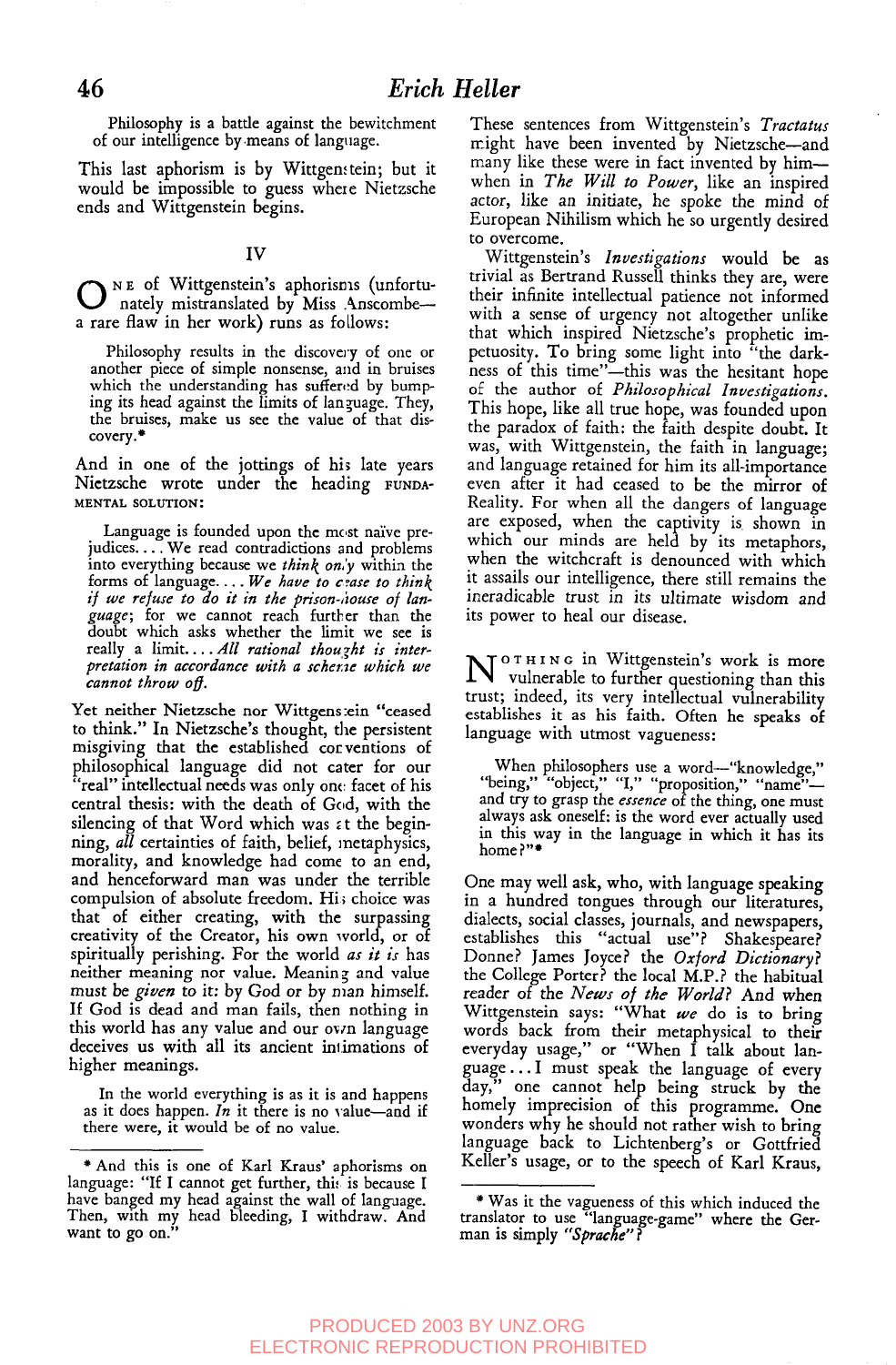Philosophy is a batde against the bewitchment of our intelligence by .means of language.

This last aphorism is by Wittgenstein; but it would be impossible to guess wheie Nietzsche ends and Wittgenstein begins.

#### IV

**O**N r of Wittgenstein's aphorisms (unfortunately mistranslated by Miss Anscombe- a rare flaw in her work) runs as follows:

Philosophy results in the discovery of one or another piece of simple nonsense, and in bruises which the understanding has suffered by bumping its head against the limits of language. They, the bruises, make us see the value of that discovery.\*

And in one of the jottings of his late years Nietzsche wrote under the heading FUNDA-MENTAL SOLUTION:

Language is founded upon the most naive prejudices.... We read contradictions and problems into everything because we think only within the forms of language.... We have to cease to think if we refuse to do it in the prison-*house* of lan*guage;* for we cannot reach further than the doubt which asks whether the limit we see is really a limit.... All rational thought is interpretation in accordance with a scherie which we *cannot throw off.*

Yet neither Nietzsche nor Wittgens:ein "ceased to think." In Nietzsche's thought, the persistent misgiving that the established cor ventions of philosophical language did not cater for our "real" intellectual needs was only one facet of his central thesis: with the death of God, with the silencing of that Word which was at the beginning, *all* certainties of faith, belief, metaphysics, morality, and knowledge had come to an end, and henceforward man was under the terrible compulsion of absolute freedom. His choice was that of either creating, with the surpassing creativity of the Creator, his own world, or of spiritually perishing. For the world *as it is* has neither meaning nor value. Meaning and value must be *given* to it: by God or by man himself. If God is dead and man fails, then nothing in this world has any value and our own language deceives us with all its ancient intimations of higher meanings.

In the world everything is as it is and happens as it does happen. *In* it there is no value-and if there were, it would be of no value.

These sentences from Wittgenstein's *Tractatus* might have been invented by Nietzsche--and many like these were in fact invented by himwhen in *The Will to Power,* like an inspired actor, like an initiate, he spoke the mind of European Nihilism which he so urgently desired to overcome.

Wittgenstein's *Investigations* would be as trivial as Bertrand Russell thinks they are, were their infinite intellectual patience not informed with a sense of urgency not altogether unlike that which inspired Nietzsche's prophetic impetuosity. To bring some light into "the darkness of this time"-this was the hesitant hope of the author of *Philosophical Investigations*. This hope, like all true hope, was founded upon the paradox of faith: the faith despite doubt. It was, with Wittgenstein, the faith in language; and language retained for him its all-importance even after it had ceased to be the mirror of Reality. For when all the dangers of language are exposed, when the captivity is shown in which our minds are held by its metaphors, when the witchcraft is denounced with which it assails our intelligence, there still remains the ineradicable trust in its ultimate wisdom and its power to heal our disease.

**N**<sup>OTHING</sup> in Wittgenstein's work is more vulnerable to further questioning than this trust; indeed, its very intellectual vulnerability establishes it as his faith. Often he speaks of language with utmost vagueness:

When philosophers use a word--"knowledge," being," "object," "I," "proposition," "name"and try to grasp the *essence* of the thing, one must always ask oneself: is the word ever actually used in this way in the language in which it has its home?"\*

One may well ask, who, with language speaking in a hundred tongues through our literatures, dialects, social classes, journals, and newspapers, establishes this "actual use"? Shakespeare? Donne? James Joyce? the *Oxford Dictionary?* the College Porter? the local M.P.? the habitual reader of the *News oI the World?* And when Wittgenstein says: "What *we* do is to bring words back from their metaphysical to their everyday usage," or "When I talk about language...I must speak the language of every day," one cannot help being struck by the homely imprecision of this programme. One wonders why he should not rather wish to bring language back to Lichtenberg's or Gottfried Keller's usage, or to the speech of Karl Kraus,

<sup>\*</sup> And this is one of Karl Kraus' aphorisms on language: "If I cannot get further, this is because I have banged my head against the wall of language. Then, with my head bleeding, I withdraw. And want to go on.'

<sup>\*</sup> Was it the vagueness of this which induced the translator to use "language-game" where the German is simply *"Sprache"?*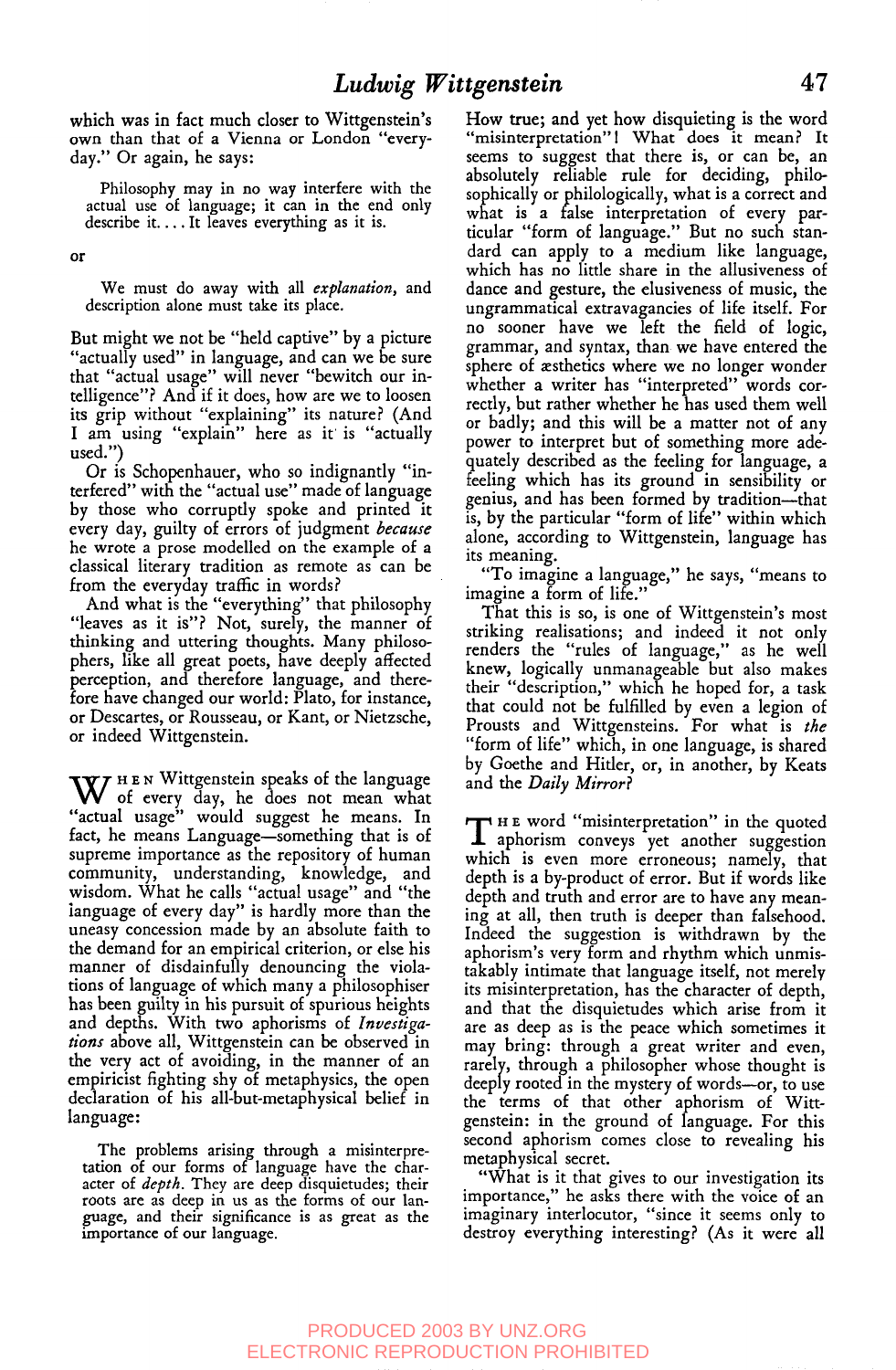which was in fact much closer to Wittgenstein's own than that of a Vienna or London "everyday." Or again, he says:

Philosophy may in no way interfere with the actual use of language; it can in the end only describe it.... It leaves everything as it is.

or

We must do away with all *explanation,* and description alone must take its place.

But might we not be "held captive" by a picture "actually used" in language, and can we be sure that "actual usage" will never "bewitch our intelligence"? And if it does, how are we to loosen its grip without "explaining" its nature? (And I am using "explain" here as it is "actually used.")

Or is Schopenhauer, who so indignantly "interfered" with the "actual use" made of language by those who corrupdy spoke and printed it every day, guilty of errors of iudgment *because* he wrote a prose modelled on the example of a classical literary tradition as remote as can be from the everyday traffic in words?

And what is the "everything" that philosophy "leaves as it is"? Not, surely, the manner of thinking and uttering thoughts. Many philosophers, like all great poets, have deeply affected perception, and therefore language, and therefore have changed our world: Plato, for instance, or Descartes, or Rousseau, or Kant, or Nietzsche, or indeed Wittgenstein.

HEN Wittgenstein speaks of the language W of every day, he does not mean what "actual usage" would suggest he means. In fact, he means Language—something that is of supreme importance as the repository of human community, understanding, knowledge, and wisdom. What he calls "actual usage" and "the language of every day" is hardly more than the uneasy concession made by an absolute faith to the demand for an empirical criterion, or else his manner of disdainfully denouncing the violations of language of which many a philosophiser has been guilty in his pursuit of spurious heights and depths. With two aphorisms of *Investigations* above all, Wittgenstein can be observed in the very act of avoiding, in the manner of an empiricist fighting shy of metaphysics, the open declaration of his all-but-metaphysical belief in language:

The problems arising through a misinterpretation of our forms of language have the character of *depth.* They are deep disquietudes; their roots are as deep in us as the forms of our language, and their significance is as great as the importance of our language.

How true; and yet how disquieting is the word "misinterpretation"l What does it mean? It seems to suggest that there is, or can be, an absolutely reliable rule for deciding, philosophically or philologically, what is a correct and what is a false interpretation of every particular "form of language." But no such standard can apply to a medium like language, which has no little share in the allusiveness of dance and gesture, the elusiveness of music, the ungrammatical extravagancies of life itself. For no sooner have we left the field of logic, grammar, and syntax, than we have entered the sphere of *asthetics* where we no longer wonder whether a writer has "interpreted" words correctly, but rather whether he has used them well or badly; and this will be a matter not of any power to interpret but of something more adequately described as the feeling for language, a feeling which has its ground in sensibility or genius, and has been formed by tradition--that is, by the particular "form of life' within which alone, according to Wittgenstein, language has its meaning.

"To imagine a language," he says, "means to imagine a form of life."

That this is so, is one of Wittgenstein's most striking realisations; and indeed it not only renders the "rules of language," as he well knew, logically unmanageable but also makes their "description," which he hoped for, a task that could not be fulfilled by even a legion of Prousts and Wittgensteins. For what is *the* "form of life" which, in one language, is shared by Goethe and Hitler, or, in another, by Keats and the *Daily Mirror?*

THE word "misinterpretation" in the quoted aphorism conveys yet another suggestion which is even more erroneous; namely, that depth is a by-product of error. But if words like depth and truth and error are to have any meaning at all, then truth is deeper than falsehood. Indeed the suggestion is withdrawn by the aphorism's very form and rhythm which unmistakably intimate that language itself, not merely its misinterpretation, has the character of depth, and that the disquietudes which arise from it are as deep as is the peace which sometimes it may bring: through a great writer and even, rarely, through a philosopher whose thought is deeply rooted in the mystery of words--or, to use the terms of that other aphorism of Wittgenstein: in the ground of language. For this second aphorism comes close to revealing his metaphysical secret.

"What is it that gives to our investigation its importance," he asks there with the voice of an imaginary interlocutor, "since it seems only to destroy everything interesting? (As it were all